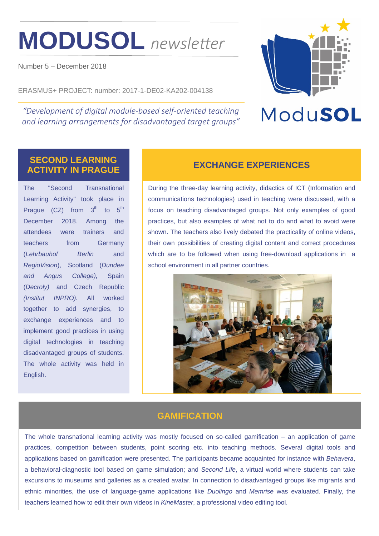# **MODUSOL** *newsleƩer*

Number 5 – December 2018

ERASMUS+ PROJECT: number: 2017-1-DE02-KA202-004138

*"Development of digital module‐based self‐oriented teaching and learning arrangements for disadvantaged target groups"* 



## ModuSOL

### **SECOND LEARNING ACTIVITY IN PRAGUE EXCHANGE EXPERIENCES**

The "Second Transnational Learning Activity" took place in Prague  $(CZ)$  from  $3<sup>th</sup>$  to  $5<sup>th</sup>$ December 2018. Among the attendees were trainers and teachers from Germany (*Lehrbauhof Berlin* and *RegioVision*), Scotland (*Dundee and Angus College),* Spain (*Decroly)* and Czech Republic *(Institut INPRO).* All worked together to add synergies, to exchange experiences and to implement good practices in using digital technologies in teaching disadvantaged groups of students. The whole activity was held in English.

During the three-day learning activity, didactics of ICT (Information and communications technologies) used in teaching were discussed, with a focus on teaching disadvantaged groups. Not only examples of good practices, but also examples of what not to do and what to avoid were shown. The teachers also lively debated the practicality of online videos, their own possibilities of creating digital content and correct procedures which are to be followed when using free-download applications in a school environment in all partner countries.



### **GAMIFICATION**

The whole transnational learning activity was mostly focused on so-called gamification – an application of game practices, competition between students, point scoring etc. into teaching methods. Several digital tools and applications based on gamification were presented. The participants became acquainted for instance with *Behavera*, a behavioral-diagnostic tool based on game simulation; and *Second Life*, a virtual world where students can take excursions to museums and galleries as a created avatar. In connection to disadvantaged groups like migrants and ethnic minorities, the use of language-game applications like *Duolingo* and *Memrise* was evaluated. Finally, the teachers learned how to edit their own videos in *KineMaster*, a professional video editing tool.